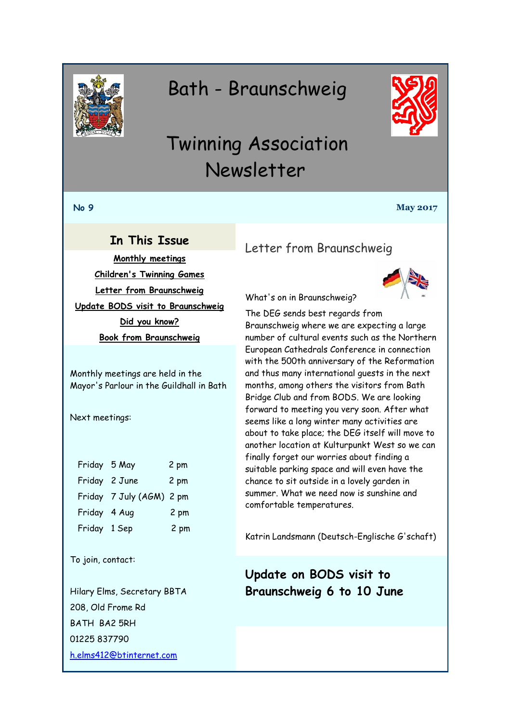<span id="page-0-0"></span>

# Bath - Braunschweig



# Twinning Association Newsletter

#### **No 9 May 2017**

## **In This Issue**

**[Monthly meetings](#page-0-0) [Children's Twinning Games](#page-1-0) [Letter from Braunschweig](#page-0-1) [Update BODS visit to Braunschweig](#page-0-2) [Did you know?](#page-1-1) [Book from Braunschweig](#page-2-0)**

Monthly meetings are held in the Mayor's Parlour in the Guildhall in Bath

Next meetings:

| Friday 5 May |                          | 2 pm |
|--------------|--------------------------|------|
|              | Friday 2 June            | 2 pm |
|              | Friday 7 July (AGM) 2 pm |      |
| Friday 4 Aug |                          | 2 pm |
| Friday 1 Sep |                          | 2 pm |

To join, contact:

Hilary Elms, Secretary BBTA 208, Old Frome Rd BATH BA2 5RH 01225 837790 [h.elms412@btinternet.com](mailto:h.elms412@btinternet.com)

# <span id="page-0-1"></span>Letter from Braunschweig



What's on in Braunschweig?

The DEG sends best regards from Braunschweig where we are expecting a large number of cultural events such as the Northern European Cathedrals Conference in connection with the 500th anniversary of the Reformation and thus many international guests in the next months, among others the visitors from Bath Bridge Club and from BODS. We are looking forward to meeting you very soon. After what seems like a long winter many activities are about to take place; the DEG itself will move to another location at Kulturpunkt West so we can finally forget our worries about finding a suitable parking space and will even have the chance to sit outside in a lovely garden in summer. What we need now is sunshine and comfortable temperatures.

Katrin Landsmann (Deutsch-Englische G'schaft)

# <span id="page-0-2"></span>**Update on BODS visit to Braunschweig 6 to 10 June**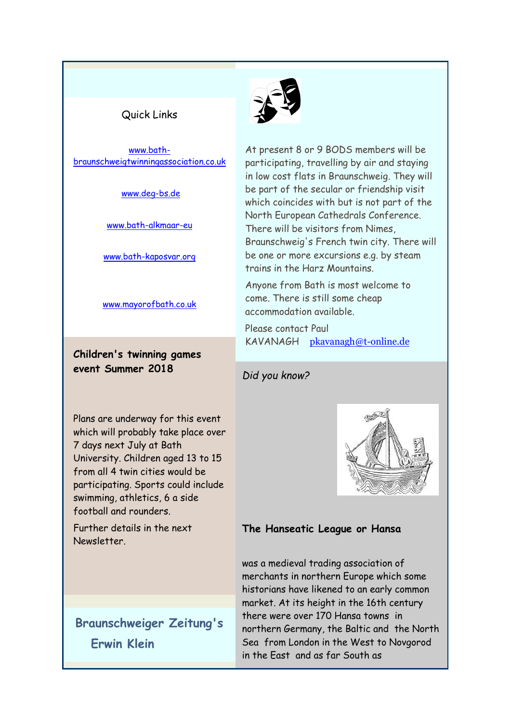#### <span id="page-1-0"></span>Quick Links

[www.bath](http://www.bath-braunschweigtwinningassociation.co.uk/)[braunschweigtwinningassociation.co.uk](http://www.bath-braunschweigtwinningassociation.co.uk/)

[www.deg-bs.de](http://www.deg-bs.de/)

[www.bath-alkmaar-eu](http://r20.rs6.net/tn.jsp?f=001w-wah5piA9Nu3EQe2j3i5UIVsyr7jrAIstkoPI17wbroeEto1z3zbMrqM-uOmiJVOrCGmBG3Myg8m-zsUB3M3ivukza5ciw3DwV_dmu3YLN0NcTZ7OmY_hUTqB5FPJOZcj6hHQBStPwXdtX5iUhKwTXI0U5WRZEeznaEdvfjnUU=&c=pEBlXcdLerCTRq13lJTntwZK22ZgEmy0pJhxpnXqb3IEPy4s-S7Iqg==&ch=gvL9JQtITWMZzceOYZR2pFtxiK12rK0rzroCEcume6XkMhVCbNm25A==)

[www.bath-kaposvar.org](http://r20.rs6.net/tn.jsp?f=001w-wah5piA9Nu3EQe2j3i5UIVsyr7jrAIstkoPI17wbroeEto1z3zbMrqM-uOmiJVM-fx6qcZ7duzS8Wtn5Op-p3q0Y3fiy6kR65JG20N3CQHHN0P_FmDN_hfnnSABe2GUZvnnIgM6vRTeKd6WQ-P8oTvUdCEfZZD94vitEDR11cwMOmv4iR03w==&c=pEBlXcdLerCTRq13lJTntwZK22ZgEmy0pJhxpnXqb3IEPy4s-S7Iqg==&ch=gvL9JQtITWMZzceOYZR2pFtxiK12rK0rzroCEcume6XkMhVCbNm25A==)

[www.mayorofbath.co.uk](http://www.mayorofbath.co.uk/)

**Children's twinning games event Summer 2018**

Plans are underway for this event which will probably take place over 7 days next July at Bath University. Children aged 13 to 15 from all 4 twin cities would be participating. Sports could include swimming, athletics, 6 a side football and rounders.

Further details in the next Newsletter.

**Braunschweiger Zeitung's Erwin Klein**



At present 8 or 9 BODS members will be participating, travelling by air and staying in low cost flats in Braunschweig. They will be part of the secular or friendship visit which coincides with but is not part of the North European Cathedrals Conference. There will be visitors from Nimes, Braunschweig's French twin city. There will be one or more excursions e.g. by steam trains in the Harz Mountains.

Anyone from Bath is most welcome to come. There is still some cheap accommodation available.

Please contact Paul KAVANAGH [pkavanagh@t-online.de](mailto:pkavanagh@t-online.de)

#### <span id="page-1-1"></span>*Did you know?*



#### **The Hanseatic League or Hansa**

was a medieval trading association of merchants in northern Europe which some historians have likened to an early common market. At its height in the 16th century there were over 170 Hansa towns in northern Germany, the Baltic and the North Sea from London in the West to Novgorod in the East and as far South as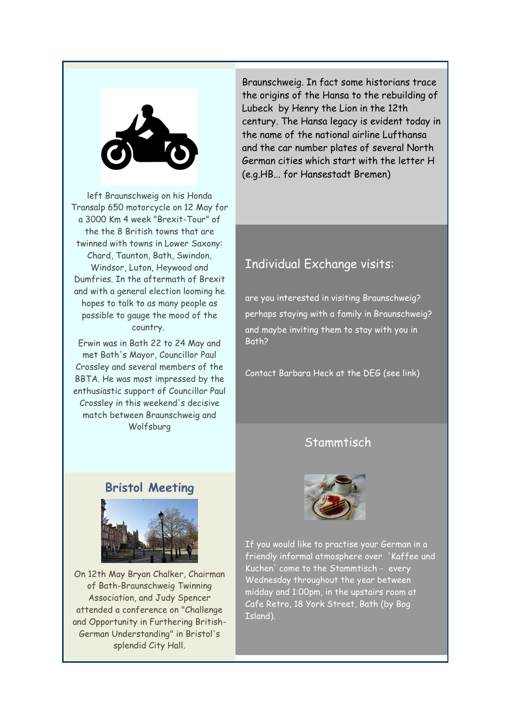<span id="page-2-0"></span>

left Braunschweig on his Honda Transalp 650 motorcycle on 12 May for a 3000 Km 4 week "Brexit-Tour" of the the 8 British towns that are twinned with towns in Lower Saxony: Chard, Taunton, Bath, Swindon, Windsor, Luton, Heywood and Dumfries. In the aftermath of Brexit and with a general election looming he hopes to talk to as many people as possible to gauge the mood of the country.

Erwin was in Bath 22 to 24 May and met Bath's Mayor, Councillor Paul Crossley and several members of the BBTA. He was most impressed by the enthusiastic support of Councillor Paul Crossley in this weekend's decisive match between Braunschweig and Wolfsburg

**Bristol Meeting**



On 12th May Bryan Chalker, Chairman of Bath-Braunschweig Twinning Association, and Judy Spencer attended a conference on "Challenge and Opportunity in Furthering British-German Understanding" in Bristol's splendid City Hall.

Braunschweig. In fact some historians trace the origins of the Hansa to the rebuilding of Lubeck by Henry the Lion in the 12th century. The Hansa legacy is evident today in the name of the national airline Lufthansa and the car number plates of several North German cities which start with the letter H (e.g.HB... for Hansestadt Bremen)

# Individual Exchange visits:

are you interested in visiting Braunschweig? perhaps staying with a family in Braunschweig? and maybe inviting them to stay with you in Bath?

Contact Barbara Heck at the DEG (see link)

# **Stammtisch**



If you would like to practise your German in a friendly informal atmosphere over 'Kaffee und Kuchen' come to the Stammtisch - every Wednesday throughout the year between midday and 1:00pm, in the upstairs room at Cafe Retro, 18 York Street, Bath (by Bog Island).